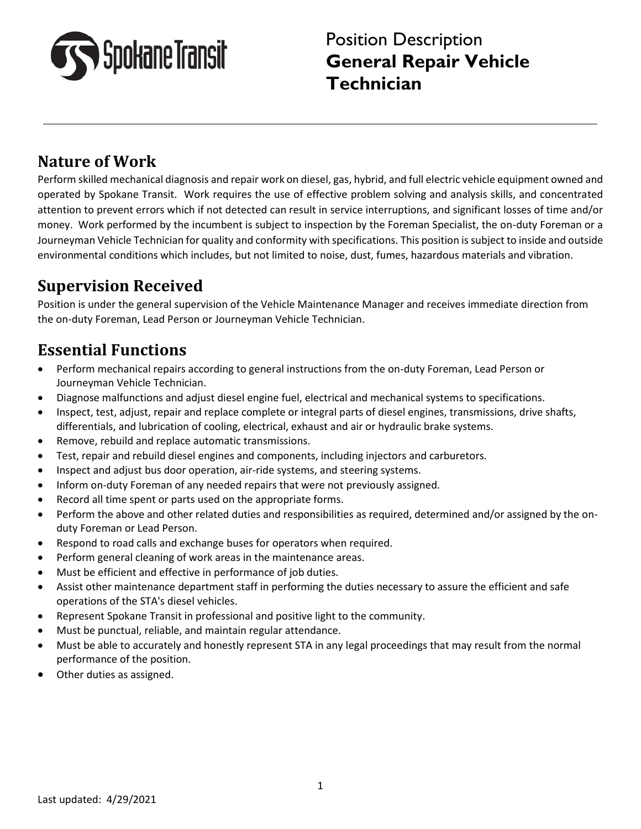

# **Nature of Work**

Perform skilled mechanical diagnosis and repair work on diesel, gas, hybrid, and full electric vehicle equipment owned and operated by Spokane Transit. Work requires the use of effective problem solving and analysis skills, and concentrated attention to prevent errors which if not detected can result in service interruptions, and significant losses of time and/or money. Work performed by the incumbent is subject to inspection by the Foreman Specialist, the on-duty Foreman or a Journeyman Vehicle Technician for quality and conformity with specifications. This position is subject to inside and outside environmental conditions which includes, but not limited to noise, dust, fumes, hazardous materials and vibration.

# **Supervision Received**

Position is under the general supervision of the Vehicle Maintenance Manager and receives immediate direction from the on-duty Foreman, Lead Person or Journeyman Vehicle Technician.

# **Essential Functions**

- Perform mechanical repairs according to general instructions from the on-duty Foreman, Lead Person or Journeyman Vehicle Technician.
- Diagnose malfunctions and adjust diesel engine fuel, electrical and mechanical systems to specifications.
- Inspect, test, adjust, repair and replace complete or integral parts of diesel engines, transmissions, drive shafts, differentials, and lubrication of cooling, electrical, exhaust and air or hydraulic brake systems.
- Remove, rebuild and replace automatic transmissions.
- Test, repair and rebuild diesel engines and components, including injectors and carburetors.
- Inspect and adjust bus door operation, air-ride systems, and steering systems.
- Inform on-duty Foreman of any needed repairs that were not previously assigned.
- Record all time spent or parts used on the appropriate forms.
- Perform the above and other related duties and responsibilities as required, determined and/or assigned by the onduty Foreman or Lead Person.
- Respond to road calls and exchange buses for operators when required.
- Perform general cleaning of work areas in the maintenance areas.
- Must be efficient and effective in performance of job duties.
- Assist other maintenance department staff in performing the duties necessary to assure the efficient and safe operations of the STA's diesel vehicles.
- Represent Spokane Transit in professional and positive light to the community.
- Must be punctual, reliable, and maintain regular attendance.
- Must be able to accurately and honestly represent STA in any legal proceedings that may result from the normal performance of the position.
- Other duties as assigned.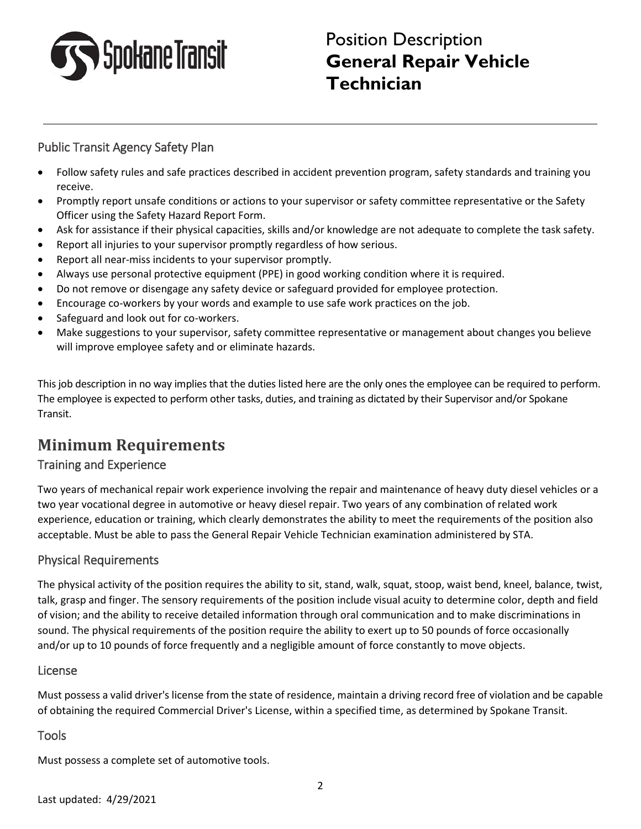

# Position Description **General Repair Vehicle Technician**

### Public Transit Agency Safety Plan

- Follow safety rules and safe practices described in accident prevention program, safety standards and training you receive.
- Promptly report unsafe conditions or actions to your supervisor or safety committee representative or the Safety Officer using the Safety Hazard Report Form.
- Ask for assistance if their physical capacities, skills and/or knowledge are not adequate to complete the task safety.
- Report all injuries to your supervisor promptly regardless of how serious.
- Report all near-miss incidents to your supervisor promptly.
- Always use personal protective equipment (PPE) in good working condition where it is required.
- Do not remove or disengage any safety device or safeguard provided for employee protection.
- Encourage co-workers by your words and example to use safe work practices on the job.
- Safeguard and look out for co-workers.
- Make suggestions to your supervisor, safety committee representative or management about changes you believe will improve employee safety and or eliminate hazards.

This job description in no way implies that the duties listed here are the only ones the employee can be required to perform. The employee is expected to perform other tasks, duties, and training as dictated by their Supervisor and/or Spokane Transit.

## **Minimum Requirements**

### Training and Experience

Two years of mechanical repair work experience involving the repair and maintenance of heavy duty diesel vehicles or a two year vocational degree in automotive or heavy diesel repair. Two years of any combination of related work experience, education or training, which clearly demonstrates the ability to meet the requirements of the position also acceptable. Must be able to pass the General Repair Vehicle Technician examination administered by STA.

### Physical Requirements

The physical activity of the position requires the ability to sit, stand, walk, squat, stoop, waist bend, kneel, balance, twist, talk, grasp and finger. The sensory requirements of the position include visual acuity to determine color, depth and field of vision; and the ability to receive detailed information through oral communication and to make discriminations in sound. The physical requirements of the position require the ability to exert up to 50 pounds of force occasionally and/or up to 10 pounds of force frequently and a negligible amount of force constantly to move objects.

#### License

Must possess a valid driver's license from the state of residence, maintain a driving record free of violation and be capable of obtaining the required Commercial Driver's License, within a specified time, as determined by Spokane Transit.

### **Tools**

Must possess a complete set of automotive tools.